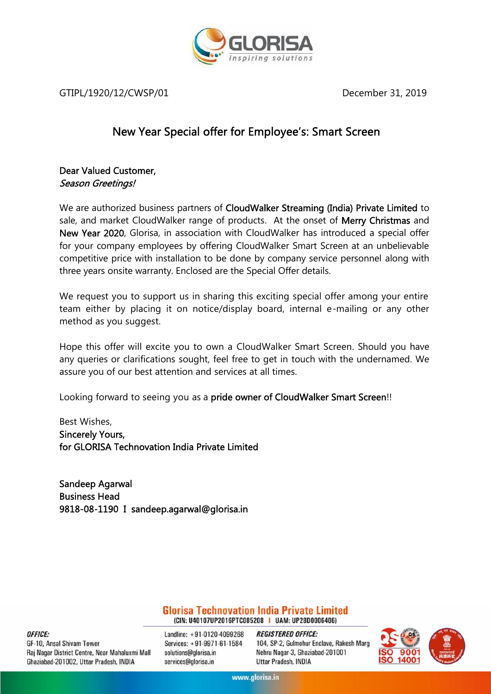

GTIPL/1920/12/CWSP/01 December 31, 2019

### **New Year Special offer for Employee's: Smart Screen**

### **Dear Valued Customer,** *Season Greetings!*

We are authorized business partners of **CloudWalker Streaming (India) Private Limited** to sale, and market CloudWalker range of products. At the onset of **Merry Christmas** and **New Year 2020**, Glorisa, in association with CloudWalker has introduced a special offer for your company employees by offering CloudWalker Smart Screen at an unbelievable competitive price with installation to be done by company service personnel along with three years onsite warranty. Enclosed are the Special Offer details.

We request you to support us in sharing this exciting special offer among your entire team either by placing it on notice/display board, internal e-mailing or any other method as you suggest.

Hope this offer will excite you to own a CloudWalker Smart Screen. Should you have any queries or clarifications sought, feel free to get in touch with the undernamed. We assure you of our best attention and services at all times.

Looking forward to seeing you as a **pride owner of CloudWalker Smart Screen**!!

Best Wishes, **Sincerely Yours, for GLORISA Technovation India Private Limited**

**Sandeep Agarwal Business Head 9818-08-1190 I sandeep.agarwal@glorisa.in**

> **Glorisa Technovation India Private Limited** (CIN: U40107UP2016PTC085208 | UAM: UP28D0006406)

OFFICE: GF-10, Ansal Shivam Tower Raj Nagar District Centre, Near Mahaluxmi Mall Ghaziabad-201002, Uttar Pradesh, INDIA

Landline: +91-0120-4099268 Services: +91-9971-61-1584 solutions@glorisa.in services@glorisa.in

**REGISTERED OFFICE:** 104, SP-2, Gulmohur Enclave, Rakesh Marg Nehru Nagar-3, Ghaziabad-201001 Uttar Pradesh, INDIA

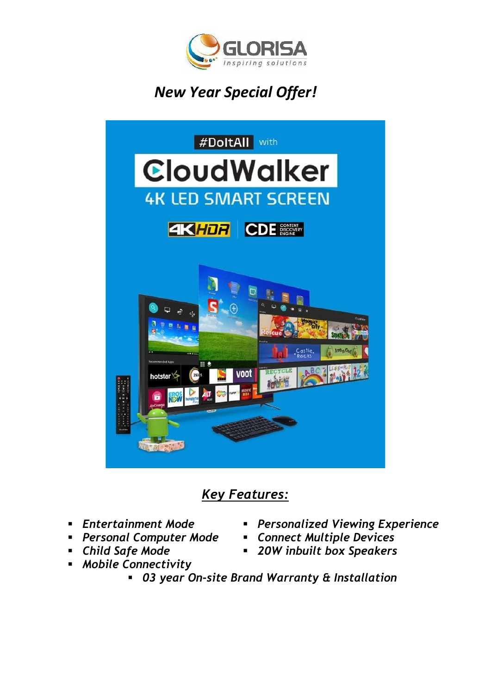

# *New Year Special Offer!*



## *Key Features:*

- 
- *Personal Computer Mode*
- 
- *Mobile Connectivity*
- *Entertainment Mode Personalized Viewing Experience*
	-
- *Child Safe Mode 20W inbuilt box Speakers*
	- *03 year On-site Brand Warranty & Installation*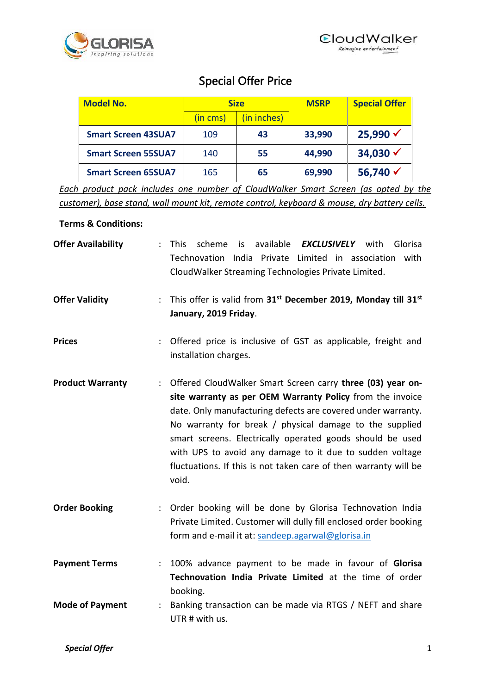

### **Special Offer Price**

| <b>Model No.</b>           | <b>Size</b> |             | <b>MSRP</b> | <b>Special Offer</b> |
|----------------------------|-------------|-------------|-------------|----------------------|
|                            | (in cms)    | (in inches) |             |                      |
| <b>Smart Screen 43SUA7</b> | 109         | 43          | 33,990      | $25,990 \checkmark$  |
| <b>Smart Screen 55SUA7</b> | 140         | 55          | 44,990      | 34,030 $\checkmark$  |
| <b>Smart Screen 65SUA7</b> | 165         | 65          | 69,990      | 56,740 $\checkmark$  |

*Each product pack includes one number of CloudWalker Smart Screen (as opted by the customer), base stand, wall mount kit, remote control, keyboard & mouse, dry battery cells.*

#### **Terms & Conditions:**

| <b>Offer Availability</b>   | is available <b>EXCLUSIVELY</b> with<br>scheme<br>Glorisa<br>÷<br><b>This</b><br>Technovation India Private Limited in association with<br>CloudWalker Streaming Technologies Private Limited.                                                                                                                                                                                                                                                           |  |  |  |  |  |
|-----------------------------|----------------------------------------------------------------------------------------------------------------------------------------------------------------------------------------------------------------------------------------------------------------------------------------------------------------------------------------------------------------------------------------------------------------------------------------------------------|--|--|--|--|--|
| <b>Offer Validity</b>       | This offer is valid from 31 <sup>st</sup> December 2019, Monday till 31 <sup>st</sup><br>÷.<br>January, 2019 Friday.                                                                                                                                                                                                                                                                                                                                     |  |  |  |  |  |
| <b>Prices</b>               | Offered price is inclusive of GST as applicable, freight and<br>installation charges.                                                                                                                                                                                                                                                                                                                                                                    |  |  |  |  |  |
| <b>Product Warranty</b>     | Offered CloudWalker Smart Screen carry three (03) year on-<br>site warranty as per OEM Warranty Policy from the invoice<br>date. Only manufacturing defects are covered under warranty.<br>No warranty for break / physical damage to the supplied<br>smart screens. Electrically operated goods should be used<br>with UPS to avoid any damage to it due to sudden voltage<br>fluctuations. If this is not taken care of then warranty will be<br>void. |  |  |  |  |  |
| <b>Order Booking</b>        | : Order booking will be done by Glorisa Technovation India<br>Private Limited. Customer will dully fill enclosed order booking<br>form and e-mail it at: sandeep.agarwal@glorisa.in                                                                                                                                                                                                                                                                      |  |  |  |  |  |
| <b>Payment Terms</b>        | 100% advance payment to be made in favour of Glorisa<br>$\ddot{\phantom{a}}$<br>Technovation India Private Limited at the time of order<br>booking.                                                                                                                                                                                                                                                                                                      |  |  |  |  |  |
| <b>Mode of Payment</b><br>÷ | Banking transaction can be made via RTGS / NEFT and share<br>UTR # with us.                                                                                                                                                                                                                                                                                                                                                                              |  |  |  |  |  |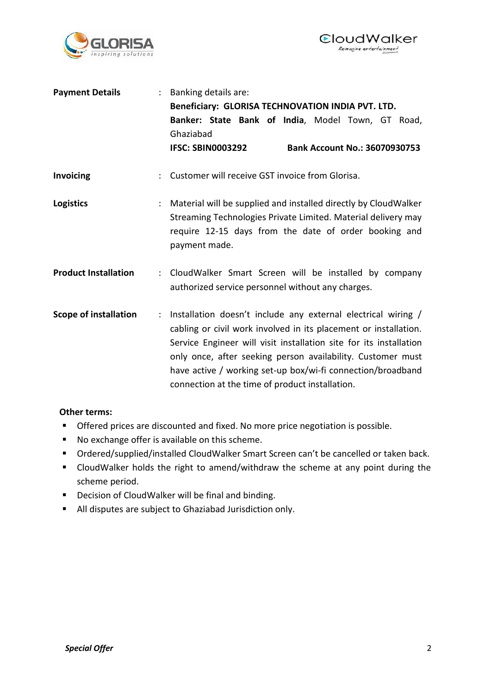



| <b>Payment Details</b>       | : Banking details are:<br>Beneficiary: GLORISA TECHNOVATION INDIA PVT. LTD.<br>Banker: State Bank of India, Model Town, GT Road,<br>Ghaziabad<br><b>IFSC: SBIN0003292</b><br><b>Bank Account No.: 36070930753</b>                                                                                                                                                                                                     |  |  |  |  |
|------------------------------|-----------------------------------------------------------------------------------------------------------------------------------------------------------------------------------------------------------------------------------------------------------------------------------------------------------------------------------------------------------------------------------------------------------------------|--|--|--|--|
| <b>Invoicing</b>             | Customer will receive GST invoice from Glorisa.                                                                                                                                                                                                                                                                                                                                                                       |  |  |  |  |
| <b>Logistics</b>             | Material will be supplied and installed directly by CloudWalker<br>Streaming Technologies Private Limited. Material delivery may<br>require 12-15 days from the date of order booking and<br>payment made.                                                                                                                                                                                                            |  |  |  |  |
| <b>Product Installation</b>  | CloudWalker Smart Screen will be installed by company<br>$\ddot{\phantom{a}}$<br>authorized service personnel without any charges.                                                                                                                                                                                                                                                                                    |  |  |  |  |
| <b>Scope of installation</b> | Installation doesn't include any external electrical wiring /<br>$\mathbb{R}^{\mathbb{Z}}$<br>cabling or civil work involved in its placement or installation.<br>Service Engineer will visit installation site for its installation<br>only once, after seeking person availability. Customer must<br>have active / working set-up box/wi-fi connection/broadband<br>connection at the time of product installation. |  |  |  |  |

#### **Other terms:**

- **Offered prices are discounted and fixed. No more price negotiation is possible.**
- No exchange offer is available on this scheme.
- Ordered/supplied/installed CloudWalker Smart Screen can't be cancelled or taken back.
- CloudWalker holds the right to amend/withdraw the scheme at any point during the scheme period.
- **Decision of CloudWalker will be final and binding.**
- All disputes are subject to Ghaziabad Jurisdiction only.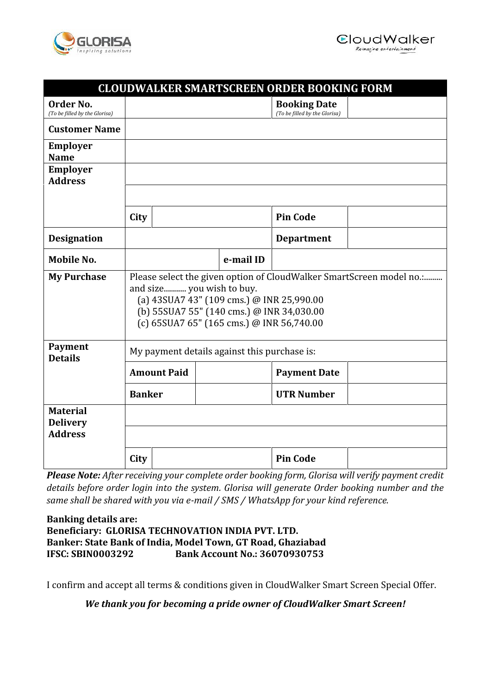



### **CLOUDWALKER SMARTSCREEN ORDER BOOKING FORM**

| Order No.<br>(To be filled by the Glorisa)           |                                                                                                                                                                                                                                          |                    |  |           | <b>Booking Date</b><br>(To be filled by the Glorisa) |  |
|------------------------------------------------------|------------------------------------------------------------------------------------------------------------------------------------------------------------------------------------------------------------------------------------------|--------------------|--|-----------|------------------------------------------------------|--|
| <b>Customer Name</b>                                 |                                                                                                                                                                                                                                          |                    |  |           |                                                      |  |
| <b>Employer</b><br><b>Name</b>                       |                                                                                                                                                                                                                                          |                    |  |           |                                                      |  |
| <b>Employer</b><br><b>Address</b>                    |                                                                                                                                                                                                                                          |                    |  |           |                                                      |  |
|                                                      | City                                                                                                                                                                                                                                     |                    |  |           | <b>Pin Code</b>                                      |  |
| <b>Designation</b>                                   |                                                                                                                                                                                                                                          |                    |  |           | <b>Department</b>                                    |  |
| Mobile No.                                           |                                                                                                                                                                                                                                          |                    |  | e-mail ID |                                                      |  |
| <b>My Purchase</b>                                   | Please select the given option of CloudWalker SmartScreen model no.:<br>and size you wish to buy.<br>(a) 43SUA7 43" (109 cms.) @ INR 25,990.00<br>(b) 55SUA7 55" (140 cms.) @ INR 34,030.00<br>(c) 65SUA7 65" (165 cms.) @ INR 56,740.00 |                    |  |           |                                                      |  |
| <b>Payment</b><br><b>Details</b>                     | My payment details against this purchase is:                                                                                                                                                                                             |                    |  |           |                                                      |  |
|                                                      |                                                                                                                                                                                                                                          | <b>Amount Paid</b> |  |           | <b>Payment Date</b>                                  |  |
|                                                      | <b>Banker</b>                                                                                                                                                                                                                            |                    |  |           | <b>UTR Number</b>                                    |  |
| <b>Material</b><br><b>Delivery</b><br><b>Address</b> |                                                                                                                                                                                                                                          |                    |  |           |                                                      |  |
|                                                      | City                                                                                                                                                                                                                                     |                    |  |           | <b>Pin Code</b>                                      |  |

*Please Note: After receiving your complete order booking form, Glorisa will verify payment credit details before order login into the system. Glorisa will generate Order booking number and the same shall be shared with you via e-mail / SMS / WhatsApp for your kind reference.*

### **Banking details are: Beneficiary: GLORISA TECHNOVATION INDIA PVT. LTD. Banker: State Bank of India, Model Town, GT Road, Ghaziabad IFSC: SBIN0003292 Bank Account No.: 36070930753**

I confirm and accept all terms & conditions given in CloudWalker Smart Screen Special Offer.

*We thank you for becoming a pride owner of CloudWalker Smart Screen!*